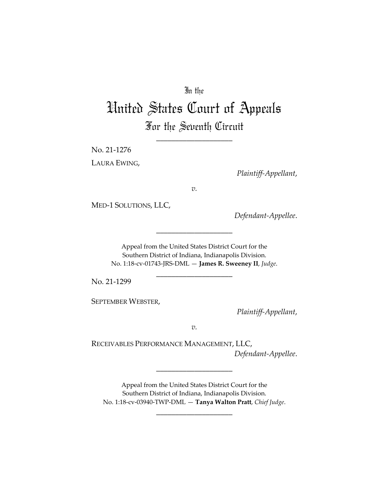## In the

# United States Court of Appeals For the Seventh Circuit

\_\_\_\_\_\_\_\_\_\_\_\_\_\_\_\_\_\_\_\_

No. 21‐1276

LAURA EWING,

*Plaintiff‐Appellant*,

*v.*

MED‐1 SOLUTIONS, LLC,

*Defendant‐Appellee*.

Appeal from the United States District Court for the Southern District of Indiana, Indianapolis Division. No. 1:18‐cv‐01743‐JRS‐DML — **James R. Sweeney II**, *Judge*.

\_\_\_\_\_\_\_\_\_\_\_\_\_\_\_\_\_\_\_\_

\_\_\_\_\_\_\_\_\_\_\_\_\_\_\_\_\_\_\_\_

No. 21‐1299

SEPTEMBER WEBSTER,

*Plaintiff‐Appellant*,

*v.*

RECEIVABLES PERFORMANCE MANAGEMENT, LLC, *Defendant‐Appellee*.

\_\_\_\_\_\_\_\_\_\_\_\_\_\_\_\_\_\_\_\_

Appeal from the United States District Court for the Southern District of Indiana, Indianapolis Division. No. 1:18‐cv‐03940‐TWP‐DML — **Tanya Walton Pratt**, *Chief Judge*.

\_\_\_\_\_\_\_\_\_\_\_\_\_\_\_\_\_\_\_\_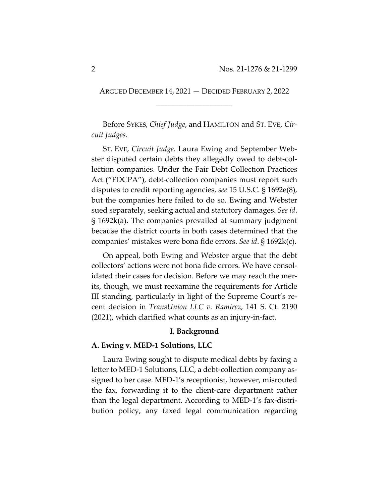ARGUED DECEMBER 14, 2021 — DECIDED FEBRUARY 2, 2022 \_\_\_\_\_\_\_\_\_\_\_\_\_\_\_\_\_\_\_\_

Before SYKES, *Chief Judge*, and HAMILTON and ST. EVE, *Cir‐ cuit Judges*.

ST. EVE, *Circuit Judge.* Laura Ewing and September Web‐ ster disputed certain debts they allegedly owed to debt‐col‐ lection companies. Under the Fair Debt Collection Practices Act ("FDCPA"), debt-collection companies must report such disputes to credit reporting agencies, *see* 15 U.S.C. § 1692e(8), but the companies here failed to do so. Ewing and Webster sued separately, seeking actual and statutory damages. *See id*. § 1692k(a). The companies prevailed at summary judgment because the district courts in both cases determined that the companies' mistakes were bona fide errors. *See id*. § 1692k(c).

On appeal, both Ewing and Webster argue that the debt collectors' actions were not bona fide errors. We have consol‐ idated their cases for decision. Before we may reach the merits, though, we must reexamine the requirements for Article III standing, particularly in light of the Supreme Court's re‐ cent decision in *TransUnion LLC v. Ramirez*, 141 S. Ct. 2190 (2021), which clarified what counts as an injury‐in‐fact.

## **I. Background**

## **A. Ewing v. MED‐1 Solutions, LLC**

Laura Ewing sought to dispute medical debts by faxing a letter to MED-1 Solutions, LLC, a debt-collection company assigned to her case. MED‐1's receptionist, however, misrouted the fax, forwarding it to the client‐care department rather than the legal department. According to MED‐1's fax‐distri‐ bution policy, any faxed legal communication regarding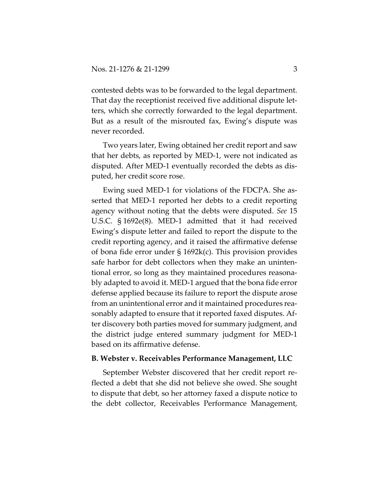contested debts was to be forwarded to the legal department. That day the receptionist received five additional dispute let‐ ters, which she correctly forwarded to the legal department. But as a result of the misrouted fax, Ewing's dispute was never recorded.

Two years later, Ewing obtained her credit report and saw that her debts, as reported by MED‐1, were not indicated as disputed. After MED‐1 eventually recorded the debts as dis‐ puted, her credit score rose.

Ewing sued MED‐1 for violations of the FDCPA. She as‐ serted that MED‐1 reported her debts to a credit reporting agency without noting that the debts were disputed. *See* 15 U.S.C. § 1692e(8). MED‐1 admitted that it had received Ewing's dispute letter and failed to report the dispute to the credit reporting agency, and it raised the affirmative defense of bona fide error under § 1692k(c). This provision provides safe harbor for debt collectors when they make an unintentional error, so long as they maintained procedures reasona‐ bly adapted to avoid it. MED‐1 argued that the bona fide error defense applied because its failure to report the dispute arose from an unintentional error and it maintained procedures rea‐ sonably adapted to ensure that it reported faxed disputes. Af‐ ter discovery both parties moved for summary judgment, and the district judge entered summary judgment for MED‐1 based on its affirmative defense.

#### **B. Webster v. Receivables Performance Management, LLC**

September Webster discovered that her credit report re‐ flected a debt that she did not believe she owed. She sought to dispute that debt, so her attorney faxed a dispute notice to the debt collector, Receivables Performance Management,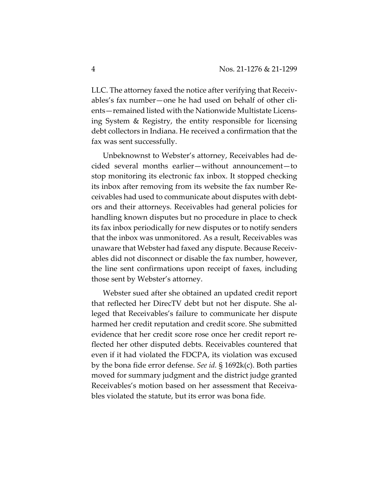LLC. The attorney faxed the notice after verifying that Receiv‐ ables's fax number—one he had used on behalf of other cli‐ ents—remained listed with the Nationwide Multistate Licens‐ ing System & Registry, the entity responsible for licensing debt collectors in Indiana. He received a confirmation that the fax was sent successfully.

Unbeknownst to Webster's attorney, Receivables had de‐ cided several months earlier—without announcement—to stop monitoring its electronic fax inbox. It stopped checking its inbox after removing from its website the fax number Re‐ ceivables had used to communicate about disputes with debt‐ ors and their attorneys. Receivables had general policies for handling known disputes but no procedure in place to check its fax inbox periodically for new disputes or to notify senders that the inbox was unmonitored. As a result, Receivables was unaware that Webster had faxed any dispute. Because Receiv‐ ables did not disconnect or disable the fax number, however, the line sent confirmations upon receipt of faxes, including those sent by Webster's attorney.

Webster sued after she obtained an updated credit report that reflected her DirecTV debt but not her dispute. She al‐ leged that Receivables's failure to communicate her dispute harmed her credit reputation and credit score. She submitted evidence that her credit score rose once her credit report re‐ flected her other disputed debts. Receivables countered that even if it had violated the FDCPA, its violation was excused by the bona fide error defense. *See id.* § 1692k(c). Both parties moved for summary judgment and the district judge granted Receivables's motion based on her assessment that Receiva‐ bles violated the statute, but its error was bona fide.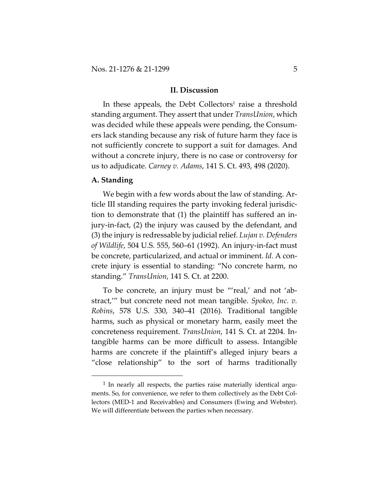#### **II. Discussion**

In these appeals, the Debt Collectors<sup>1</sup> raise a threshold standing argument. They assert that under *TransUnion*, which was decided while these appeals were pending, the Consum‐ ers lack standing because any risk of future harm they face is not sufficiently concrete to support a suit for damages. And without a concrete injury, there is no case or controversy for us to adjudicate. *Carney v. Adams*, 141 S. Ct. 493, 498 (2020).

## **A. Standing**

We begin with a few words about the law of standing. Article III standing requires the party invoking federal jurisdic‐ tion to demonstrate that (1) the plaintiff has suffered an in‐ jury‐in‐fact, (2) the injury was caused by the defendant, and (3) the injury is redressable by judicialrelief. *Lujan v. Defenders of Wildlife*, 504 U.S. 555, 560–61 (1992). An injury‐in‐fact must be concrete, particularized, and actual or imminent. *Id.* A con‐ crete injury is essential to standing: "No concrete harm, no standing." *TransUnion*, 141 S. Ct. at 2200.

To be concrete, an injury must be "'real,' and not 'abstract,'" but concrete need not mean tangible. *Spokeo, Inc. v. Robins*, 578 U.S. 330, 340–41 (2016). Traditional tangible harms, such as physical or monetary harm, easily meet the concreteness requirement. *TransUnion*, 141 S. Ct. at 2204. In‐ tangible harms can be more difficult to assess. Intangible harms are concrete if the plaintiff's alleged injury bears a "close relationship" to the sort of harms traditionally

 $1$  In nearly all respects, the parties raise materially identical arguments. So, for convenience, we refer to them collectively as the Debt Collectors (MED‐1 and Receivables) and Consumers (Ewing and Webster). We will differentiate between the parties when necessary.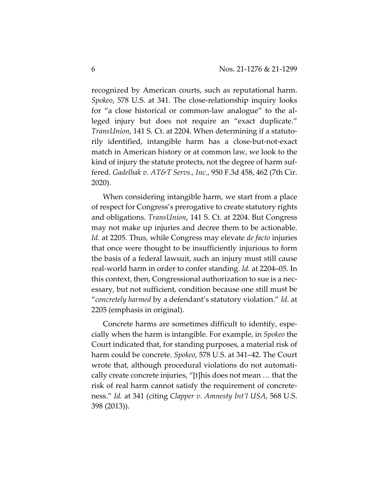recognized by American courts, such as reputational harm. *Spokeo*, 578 U.S. at 341. The close-relationship inquiry looks for "a close historical or common-law analogue" to the alleged injury but does not require an "exact duplicate." *TransUnion*, 141 S. Ct. at 2204. When determining if a statuto‐ rily identified, intangible harm has a close‐but‐not‐exact match in American history or at common law, we look to the kind of injury the statute protects, not the degree of harm suf‐ fered. *Gadelhak v. AT&T Servs., Inc.*, 950 F.3d 458, 462 (7th Cir. 2020).

When considering intangible harm, we start from a place of respect for Congress's prerogative to create statutory rights and obligations. *TransUnion*, 141 S. Ct. at 2204. But Congress may not make up injuries and decree them to be actionable. *Id.* at 2205. Thus, while Congress may elevate *de facto* injuries that once were thought to be insufficiently injurious to form the basis of a federal lawsuit, such an injury must still cause real‐world harm in order to confer standing. *Id.* at 2204–05. In this context, then, Congressional authorization to sue is a nec‐ essary, but not sufficient, condition because one still must be "*concretely harmed* by a defendant's statutory violation." *Id.* at 2205 (emphasis in original).

Concrete harms are sometimes difficult to identify, espe‐ cially when the harm is intangible. For example, in *Spokeo* the Court indicated that, for standing purposes, a material risk of harm could be concrete. *Spokeo*, 578 U.S. at 341–42. The Court wrote that, although procedural violations do not automatically create concrete injuries, "[t]his does not mean … that the risk of real harm cannot satisfy the requirement of concrete‐ ness." *Id.* at 341 (citing *Clapper v. Amnesty Int'l USA*, 568 U.S. 398 (2013)).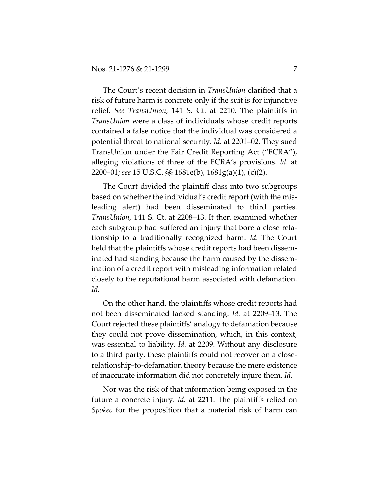The Court's recent decision in *TransUnion* clarified that a risk of future harm is concrete only if the suit is for injunctive relief. *See TransUnion*, 141 S. Ct. at 2210. The plaintiffs in *TransUnion* were a class of individuals whose credit reports contained a false notice that the individual was considered a potential threat to national security. *Id.* at 2201–02. They sued TransUnion under the Fair Credit Reporting Act ("FCRA"), alleging violations of three of the FCRA's provisions. *Id.* at 2200–01; *see* 15 U.S.C. §§ 1681e(b), 1681g(a)(1), (c)(2).

The Court divided the plaintiff class into two subgroups based on whether the individual's credit report (with the mis‐ leading alert) had been disseminated to third parties. *TransUnion*, 141 S. Ct. at 2208–13. It then examined whether each subgroup had suffered an injury that bore a close rela‐ tionship to a traditionally recognized harm. *Id.* The Court held that the plaintiffs whose credit reports had been disseminated had standing because the harm caused by the dissem‐ ination of a credit report with misleading information related closely to the reputational harm associated with defamation. *Id.*

On the other hand, the plaintiffs whose credit reports had not been disseminated lacked standing. *Id.* at 2209–13. The Court rejected these plaintiffs' analogy to defamation because they could not prove dissemination, which, in this context, was essential to liability. *Id.* at 2209. Without any disclosure to a third party, these plaintiffs could not recover on a close‐ relationship‐to‐defamation theory because the mere existence of inaccurate information did not concretely injure them. *Id.*

Nor was the risk of that information being exposed in the future a concrete injury. *Id.* at 2211. The plaintiffs relied on *Spokeo* for the proposition that a material risk of harm can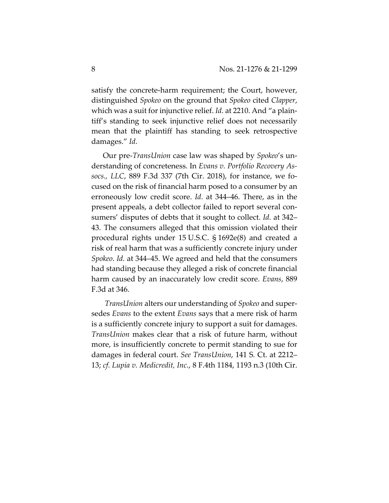satisfy the concrete-harm requirement; the Court, however, distinguished *Spokeo* on the ground that *Spokeo* cited *Clapper*, which was a suit for injunctive relief. *Id.* at 2210. And "a plain‐ tiff's standing to seek injunctive relief does not necessarily mean that the plaintiff has standing to seek retrospective damages." *Id*.

Our pre‐*TransUnion* case law was shaped by *Spokeo*'s un‐ derstanding of concreteness. In *Evans v. Portfolio Recovery As‐ socs., LLC*, 889 F.3d 337 (7th Cir. 2018), for instance, we fo‐ cused on the risk of financial harm posed to a consumer by an erroneously low credit score. *Id.* at 344–46. There, as in the present appeals, a debt collector failed to report several consumers' disputes of debts that it sought to collect. *Id.* at 342– 43. The consumers alleged that this omission violated their procedural rights under 15 U.S.C. § 1692e(8) and created a risk of real harm that was a sufficiently concrete injury under *Spokeo*. *Id.* at 344–45. We agreed and held that the consumers had standing because they alleged a risk of concrete financial harm caused by an inaccurately low credit score. *Evans*, 889 F.3d at 346.

*TransUnion* alters our understanding of *Spokeo* and super‐ sedes *Evans* to the extent *Evans* says that a mere risk of harm is a sufficiently concrete injury to support a suit for damages. *TransUnion* makes clear that a risk of future harm, without more, is insufficiently concrete to permit standing to sue for damages in federal court. *See TransUnion*, 141 S*.* Ct. at 2212– 13; *cf. Lupia v. Medicredit, Inc.*, 8 F.4th 1184, 1193 n.3 (10th Cir.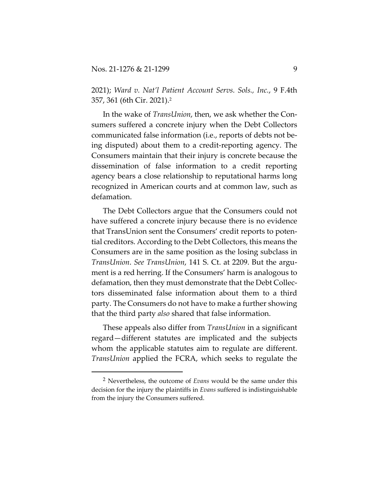2021); *Ward v. Nat'l Patient Account Servs. Sols., Inc.*, 9 F.4th 357, 361 (6th Cir. 2021).2

In the wake of *TransUnion*, then, we ask whether the Consumers suffered a concrete injury when the Debt Collectors communicated false information (i.e., reports of debts not be‐ ing disputed) about them to a credit‐reporting agency. The Consumers maintain that their injury is concrete because the dissemination of false information to a credit reporting agency bears a close relationship to reputational harms long recognized in American courts and at common law, such as defamation.

The Debt Collectors argue that the Consumers could not have suffered a concrete injury because there is no evidence that TransUnion sent the Consumers' credit reports to poten‐ tial creditors. According to the Debt Collectors, this means the Consumers are in the same position as the losing subclass in *TransUnion*. *See TransUnion*, 141 S. Ct. at 2209. But the argu‐ ment is a red herring. If the Consumers' harm is analogous to defamation, then they must demonstrate that the Debt Collec‐ tors disseminated false information about them to a third party. The Consumers do not have to make a further showing that the third party *also* shared that false information.

These appeals also differ from *TransUnion* in a significant regard—different statutes are implicated and the subjects whom the applicable statutes aim to regulate are different. *TransUnion* applied the FCRA, which seeks to regulate the

<sup>2</sup> Nevertheless, the outcome of *Evans* would be the same under this decision for the injury the plaintiffs in *Evans* suffered is indistinguishable from the injury the Consumers suffered.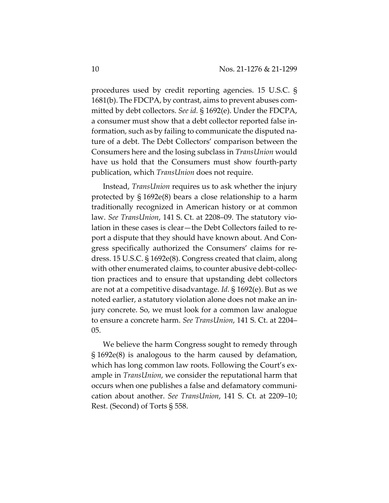procedures used by credit reporting agencies. 15 U.S.C. § 1681(b). The FDCPA, by contrast, aims to prevent abuses com‐ mitted by debt collectors. *See id.* § 1692(e). Under the FDCPA, a consumer must show that a debt collector reported false in‐ formation, such as by failing to communicate the disputed na‐ ture of a debt. The Debt Collectors' comparison between the Consumers here and the losing subclass in *TransUnion* would have us hold that the Consumers must show fourth‐party publication, which *TransUnion* does not require.

Instead, *TransUnion* requires us to ask whether the injury protected by § 1692e(8) bears a close relationship to a harm traditionally recognized in American history or at common law. *See TransUnion*, 141 S. Ct. at 2208–09. The statutory vio‐ lation in these cases is clear—the Debt Collectors failed to re‐ port a dispute that they should have known about. And Con‐ gress specifically authorized the Consumers' claims for re‐ dress. 15 U.S.C. § 1692e(8). Congress created that claim, along with other enumerated claims, to counter abusive debt-collection practices and to ensure that upstanding debt collectors are not at a competitive disadvantage. *Id.* § 1692(e). But as we noted earlier, a statutory violation alone does not make an in‐ jury concrete. So, we must look for a common law analogue to ensure a concrete harm. *See TransUnion*, 141 S. Ct. at 2204– 05.

We believe the harm Congress sought to remedy through § 1692e(8) is analogous to the harm caused by defamation, which has long common law roots. Following the Court's example in *TransUnion*, we consider the reputational harm that occurs when one publishes a false and defamatory communi‐ cation about another. *See TransUnion*, 141 S. Ct. at 2209–10; Rest. (Second) of Torts § 558.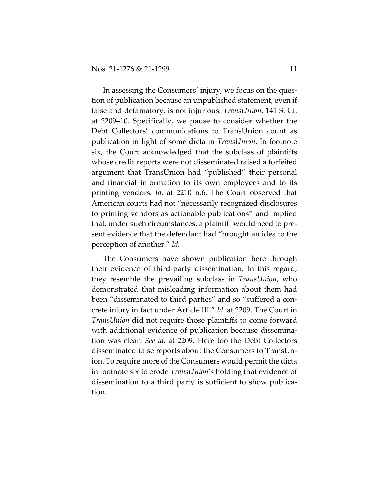In assessing the Consumers' injury, we focus on the ques‐ tion of publication because an unpublished statement, even if false and defamatory, is not injurious. *TransUnion*, 141 S. Ct. at 2209–10. Specifically, we pause to consider whether the Debt Collectors' communications to TransUnion count as publication in light of some dicta in *TransUnion*. In footnote six, the Court acknowledged that the subclass of plaintiffs whose credit reports were not disseminated raised a forfeited argument that TransUnion had "published" their personal and financial information to its own employees and to its printing vendors. *Id.* at 2210 n.6. The Court observed that American courts had not "necessarily recognized disclosures to printing vendors as actionable publications" and implied that, under such circumstances, a plaintiff would need to pre‐ sent evidence that the defendant had "brought an idea to the perception of another." *Id.*

The Consumers have shown publication here through their evidence of third‐party dissemination. In this regard, they resemble the prevailing subclass in *TransUnion*, who demonstrated that misleading information about them had been "disseminated to third parties" and so "suffered a concrete injury in fact under Article III." *Id.* at 2209. The Court in *TransUnion* did not require those plaintiffs to come forward with additional evidence of publication because dissemina‐ tion was clear. *See id.* at 2209*.* Here too the Debt Collectors disseminated false reports about the Consumers to TransUn‐ ion. To require more of the Consumers would permit the dicta in footnote six to erode *TransUnion*'s holding that evidence of dissemination to a third party is sufficient to show publica‐ tion.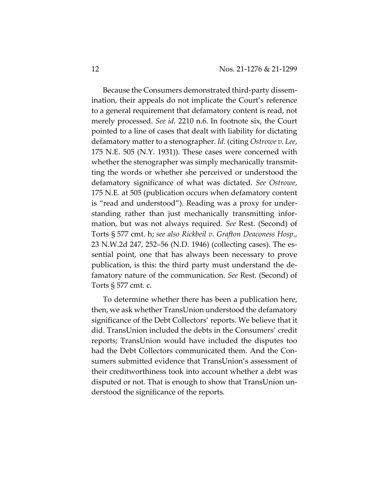Because the Consumers demonstrated third‐party dissem‐ ination, their appeals do not implicate the Court's reference to a general requirement that defamatory content is read, not merely processed. *See id.* 2210 n.6. In footnote six, the Court pointed to a line of cases that dealt with liability for dictating defamatory matter to a stenographer. *Id.* (citing *Ostrowe v. Lee*, 175 N.E. 505 (N.Y. 1931)). These cases were concerned with whether the stenographer was simply mechanically transmitting the words or whether she perceived or understood the defamatory significance of what was dictated. *See Ostrowe*, 175 N.E. at 505 (publication occurs when defamatory content is "read and understood"). Reading was a proxy for under‐ standing rather than just mechanically transmitting infor‐ mation, but was not always required. *See* Rest. (Second) of Torts § 577 cmt. h; *see also Rickbeil v. Grafton Deaconess Hosp*., 23 N.W.2d 247, 252–56 (N.D. 1946) (collecting cases). The es‐ sential point, one that has always been necessary to prove publication, is this: the third party must understand the de‐ famatory nature of the communication. *See* Rest. (Second) of Torts § 577 cmt. c.

To determine whether there has been a publication here, then, we ask whether TransUnion understood the defamatory significance of the Debt Collectors' reports. We believe that it did. TransUnion included the debts in the Consumers' credit reports; TransUnion would have included the disputes too had the Debt Collectors communicated them. And the Consumers submitted evidence that TransUnion's assessment of their creditworthiness took into account whether a debt was disputed or not. That is enough to show that TransUnion un‐ derstood the significance of the reports.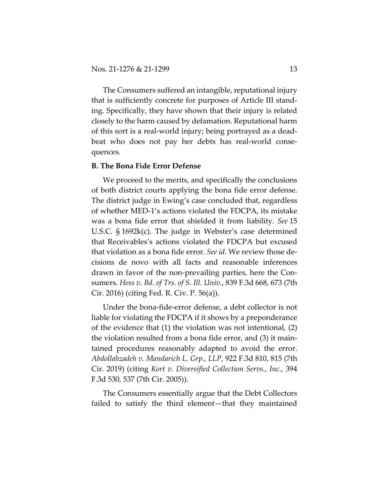The Consumers suffered an intangible, reputational injury that is sufficiently concrete for purposes of Article III stand‐ ing. Specifically, they have shown that their injury is related closely to the harm caused by defamation. Reputational harm of this sort is a real‐world injury; being portrayed as a dead‐ beat who does not pay her debts has real-world consequences.

## **B. The Bona Fide Error Defense**

We proceed to the merits, and specifically the conclusions of both district courts applying the bona fide error defense. The district judge in Ewing's case concluded that, regardless of whether MED‐1's actions violated the FDCPA, its mistake was a bona fide error that shielded it from liability. *See* 15 U.S.C. § 1692k(c). The judge in Webster's case determined that Receivables's actions violated the FDCPA but excused that violation as a bona fide error. *See id.* We review those de‐ cisions de novo with all facts and reasonable inferences drawn in favor of the non‐prevailing parties, here the Con‐ sumers. *Hess v. Bd. of Trs. of S. Ill. Univ.*, 839 F.3d 668, 673 (7th Cir. 2016) (citing Fed. R. Civ. P. 56(a)).

Under the bona‐fide‐error defense, a debt collector is not liable for violating the FDCPA if it shows by a preponderance of the evidence that (1) the violation was not intentional, (2) the violation resulted from a bona fide error, and (3) it main‐ tained procedures reasonably adapted to avoid the error. *Abdollahzadeh v. Mandarich L. Grp., LLP*, 922 F.3d 810, 815 (7th Cir. 2019) (citing *Kort v. Diversified Collection Servs., Inc.*, 394 F.3d 530, 537 (7th Cir. 2005)).

The Consumers essentially argue that the Debt Collectors failed to satisfy the third element—that they maintained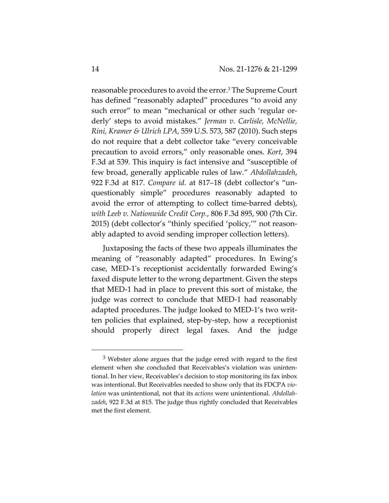reasonable procedures to avoid the error.3 The Supreme Court has defined "reasonably adapted" procedures "to avoid any such error" to mean "mechanical or other such 'regular orderly' steps to avoid mistakes." *Jerman v. Carlisle, McNellie, Rini, Kramer & Ulrich LPA*, 559 U.S. 573, 587 (2010). Such steps do not require that a debt collector take "every conceivable precaution to avoid errors," only reasonable ones. *Kort*, 394 F.3d at 539. This inquiry is fact intensive and "susceptible of few broad, generally applicable rules of law." *Abdollahzadeh*, 922 F.3d at 817. *Compare id.* at 817–18 (debt collector's "un‐ questionably simple" procedures reasonably adapted to avoid the error of attempting to collect time‐barred debts), *with Leeb v. Nationwide Credit Corp.*, 806 F.3d 895, 900 (7th Cir. 2015) (debt collector's "thinly specified 'policy,'" not reason‐ ably adapted to avoid sending improper collection letters).

Juxtaposing the facts of these two appeals illuminates the meaning of "reasonably adapted" procedures. In Ewing's case, MED‐1ʹs receptionist accidentally forwarded Ewing's faxed dispute letter to the wrong department. Given the steps that MED‐1 had in place to prevent this sort of mistake, the judge was correct to conclude that MED‐1 had reasonably adapted procedures. The judge looked to MED‐1's two writ‐ ten policies that explained, step‐by‐step, how a receptionist should properly direct legal faxes. And the judge

 $3$  Webster alone argues that the judge erred with regard to the first element when she concluded that Receivables's violation was unintentional. In her view, Receivables's decision to stop monitoring its fax inbox was intentional. But Receivables needed to show only that its FDCPA *vio‐ lation* was unintentional, not that its *actions* were unintentional. *Abdollah‐ zadeh*, 922 F.3d at 815. The judge thus rightly concluded that Receivables met the first element.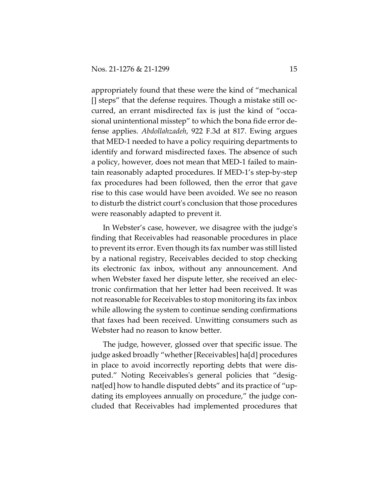appropriately found that these were the kind of "mechanical [] steps" that the defense requires. Though a mistake still oc‐ curred, an errant misdirected fax is just the kind of "occa‐ sional unintentional misstep" to which the bona fide error de‐ fense applies. *Abdollahzadeh*, 922 F.3d at 817. Ewing argues that MED‐1 needed to have a policy requiring departments to identify and forward misdirected faxes. The absence of such a policy, however, does not mean that MED‐1 failed to main‐ tain reasonably adapted procedures. If MED‐1's step‐by‐step fax procedures had been followed, then the error that gave rise to this case would have been avoided. We see no reason to disturb the district courtʹs conclusion that those procedures were reasonably adapted to prevent it.

In Webster's case, however, we disagree with the judgeʹs finding that Receivables had reasonable procedures in place to prevent its error. Even though its fax number was still listed by a national registry, Receivables decided to stop checking its electronic fax inbox, without any announcement. And when Webster faxed her dispute letter, she received an electronic confirmation that her letter had been received. It was not reasonable for Receivables to stop monitoring its fax inbox while allowing the system to continue sending confirmations that faxes had been received. Unwitting consumers such as Webster had no reason to know better.

The judge, however, glossed over that specific issue. The judge asked broadly "whether [Receivables] ha[d] procedures in place to avoid incorrectly reporting debts that were dis‐ puted." Noting Receivablesʹs general policies that "desig‐ nat [ed] how to handle disputed debts" and its practice of "updating its employees annually on procedure," the judge con‐ cluded that Receivables had implemented procedures that